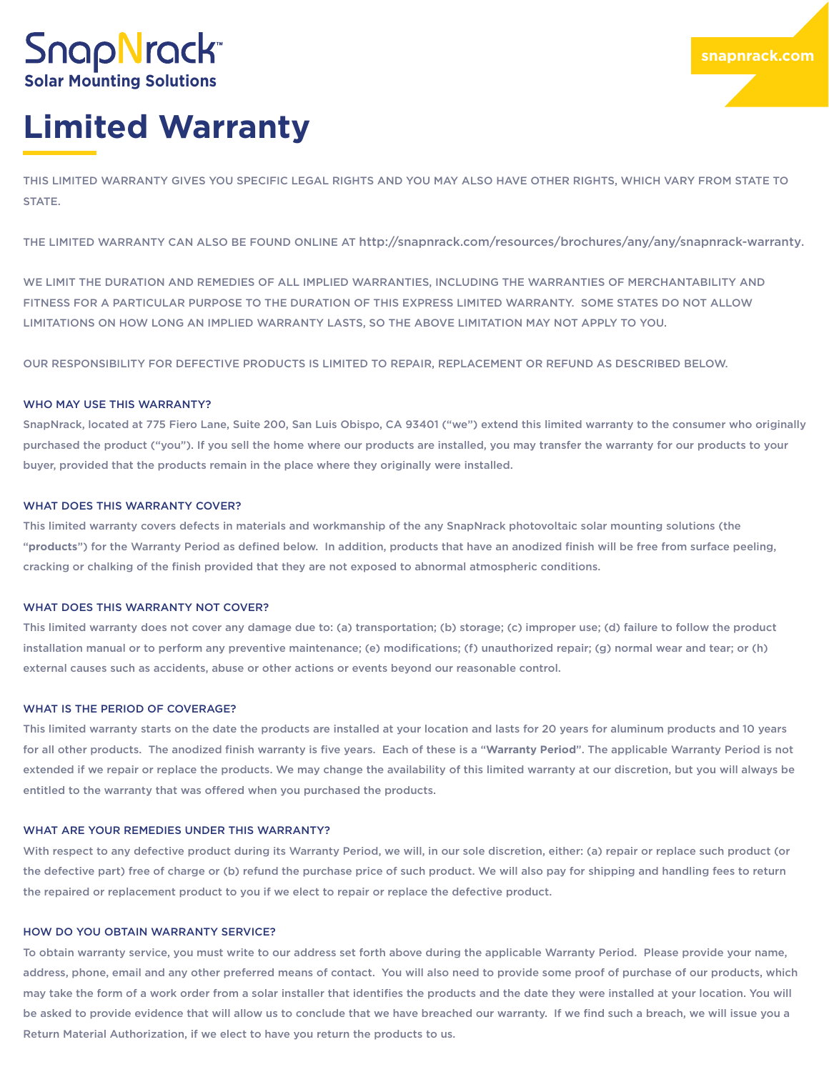# **SnapNrack Solar Mounting Solutions**

# **Limited Warranty**

THIS LIMITED WARRANTY GIVES YOU SPECIFIC LEGAL RIGHTS AND YOU MAY ALSO HAVE OTHER RIGHTS, WHICH VARY FROM STATE TO STATE.

THE LIMITED WARRANTY CAN ALSO BE FOUND ONLINE AT http://snapnrack.com/resources/brochures/any/any/snapnrack-warranty.

WE LIMIT THE DURATION AND REMEDIES OF ALL IMPLIED WARRANTIES, INCLUDING THE WARRANTIES OF MERCHANTABILITY AND FITNESS FOR A PARTICULAR PURPOSE TO THE DURATION OF THIS EXPRESS LIMITED WARRANTY. SOME STATES DO NOT ALLOW LIMITATIONS ON HOW LONG AN IMPLIED WARRANTY LASTS, SO THE ABOVE LIMITATION MAY NOT APPLY TO YOU.

OUR RESPONSIBILITY FOR DEFECTIVE PRODUCTS IS LIMITED TO REPAIR, REPLACEMENT OR REFUND AS DESCRIBED BELOW.

# WHO MAY USE THIS WARRANTY?

SnapNrack, located at 775 Fiero Lane, Suite 200, San Luis Obispo, CA 93401 ("we") extend this limited warranty to the consumer who originally purchased the product ("you"). If you sell the home where our products are installed, you may transfer the warranty for our products to your buyer, provided that the products remain in the place where they originally were installed.

# WHAT DOES THIS WARRANTY COVER?

This limited warranty covers defects in materials and workmanship of the any SnapNrack photovoltaic solar mounting solutions (the "**products**") for the Warranty Period as defined below. In addition, products that have an anodized finish will be free from surface peeling, cracking or chalking of the finish provided that they are not exposed to abnormal atmospheric conditions.

#### WHAT DOES THIS WARRANTY NOT COVER?

This limited warranty does not cover any damage due to: (a) transportation; (b) storage; (c) improper use; (d) failure to follow the product installation manual or to perform any preventive maintenance; (e) modifications; (f) unauthorized repair; (g) normal wear and tear; or (h) external causes such as accidents, abuse or other actions or events beyond our reasonable control.

# WHAT IS THE PERIOD OF COVERAGE?

This limited warranty starts on the date the products are installed at your location and lasts for 20 years for aluminum products and 10 years for all other products. The anodized finish warranty is five years. Each of these is a "**Warranty Period**". The applicable Warranty Period is not extended if we repair or replace the products. We may change the availability of this limited warranty at our discretion, but you will always be entitled to the warranty that was offered when you purchased the products.

# WHAT ARE YOUR REMEDIES UNDER THIS WARRANTY?

With respect to any defective product during its Warranty Period, we will, in our sole discretion, either: (a) repair or replace such product (or the defective part) free of charge or (b) refund the purchase price of such product. We will also pay for shipping and handling fees to return the repaired or replacement product to you if we elect to repair or replace the defective product.

# HOW DO YOU OBTAIN WARRANTY SERVICE?

To obtain warranty service, you must write to our address set forth above during the applicable Warranty Period. Please provide your name, address, phone, email and any other preferred means of contact. You will also need to provide some proof of purchase of our products, which may take the form of a work order from a solar installer that identifies the products and the date they were installed at your location. You will be asked to provide evidence that will allow us to conclude that we have breached our warranty. If we find such a breach, we will issue you a Return Material Authorization, if we elect to have you return the products to us.